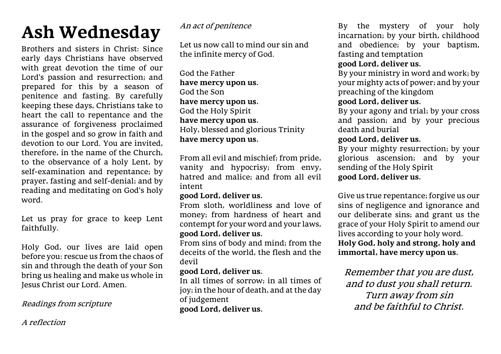# **Ash Wednesday**

Brothers and sisters in Christ: Since early days Christians have observed with great devotion the time of our Lord's passion and resurrection; and prepared for this by a season of penitence and fasting. By carefully keeping these days, Christians take to heart the call to repentance and the assurance of forgiveness proclaimed in the gospel and so grow in faith and devotion to our Lord. You are invited, therefore, in the name of the Church, to the observance of a holy Lent, by self-examination and repentance; by prayer, fasting and self-denial; and by reading and meditating on God's holy word.

Let us pray for grace to keep Lent faithfully.

Holy God, our lives are laid open before you: rescue us from the chaos of sin and through the death of your Son bring us healing and make us whole in Jesus Christ our Lord. Amen.

# Readings from scripture

A reflection

## An act of penitence

Let us now call to mind our sin and the infinite mercy of God.

God the Father **have mercy upon us.** God the Son **have mercy upon us.** God the Holy Spirit **have mercy upon us.** Holy, blessed and glorious Trinity **have mercy upon us.**

From all evil and mischief; from pride, vanity and hypocrisy; from envy, hatred and malice; and from all evil intent

## **good Lord, deliver us.**

From sloth, worldliness and love of money; from hardness of heart and contempt for your word and your laws, **good Lord, deliver us.**

From sins of body and mind; from the deceits of the world, the flesh and the devil

# **good Lord, deliver us.**

In all times of sorrow; in all times of joy; in the hour of death, and at the day of judgement **good Lord, deliver us.**

By the mystery of your holy incarnation; by your birth, childhood and obedience; by your baptism, fasting and temptation

# **good Lord, deliver us.**

By your ministry in word and work; by your mighty acts of power; and by your preaching of the kingdom

# **good Lord, deliver us.**

By your agony and trial; by your cross and passion; and by your precious death and burial

## **good Lord, deliver us.**

By your mighty resurrection; by your glorious ascension; and by your sending of the Holy Spirit **good Lord, deliver us.**

Give us true repentance; forgive us our sins of negligence and ignorance and our deliberate sins; and grant us the grace of your Holy Spirit to amend our lives according to your holy word. **Holy God, holy and strong, holy and immortal, have mercy upon us.**

Remember that you are dust, and to dust you shall return. Turn away from sin and be faithful to Christ.